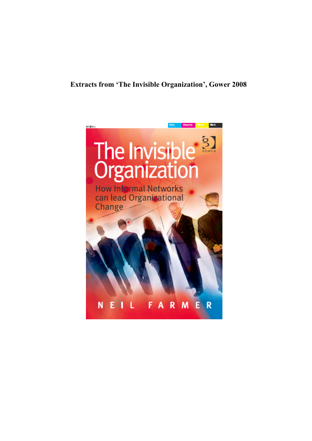# **Extracts from 'The Invisible Organization', Gower 2008**

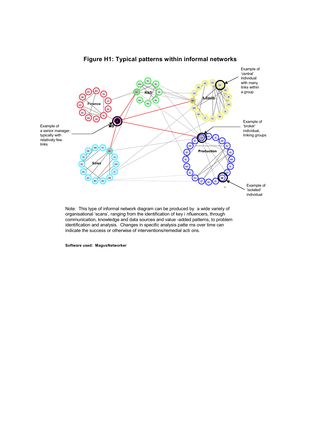

# **Figure H1: Typical patterns within informal networks**

organisational 'scans', ranging from the identification of key i nfluencers, through communication, knowledge and data sources and value -added patterns, to problem identification and analysis. Changes in specific analysis patte rns over time can indicate the success or otherwise of interventions/remedial acti ons.

**Software used: Magus Networker**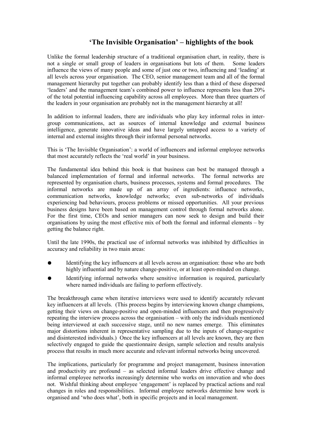# **'The Invisible Organisation' – highlights of the book**

Unlike the formal leadership structure of a traditional organisation chart, in reality, there is not a single or small group of leaders in organisations but lots of them. Some leaders influence the views of many people and some of just one or two, influencing and 'leading' at all levels across your organisation. The CEO, senior management team and all of the formal management hierarchy put together can probably identify less than a third of these dispersed 'leaders' and the management team's combined power to influence represents less than 20% of the total potential influencing capability across all employees. More than three quarters of the leaders in your organisation are probably not in the management hierarchy at all!

In addition to informal leaders, there are individuals who play key informal roles in intergroup communications, act as sources of internal knowledge and external business intelligence, generate innovative ideas and have largely untapped access to a variety of internal and external insights through their informal personal networks.

This is 'The Invisible Organisation': a world of influencers and informal employee networks that most accurately reflects the 'real world' in your business.

The fundamental idea behind this book is that business can best be managed through a balanced implementation of formal and informal networks. The formal networks are represented by organisation charts, business processes, systems and formal procedures. The informal networks are made up of an array of ingredients: influence networks, communication networks, knowledge networks; even sub-networks of individuals experiencing bad behaviours, process problems or missed opportunities. All your previous business designs have been based on management control through formal networks alone. For the first time, CEOs and senior managers can now seek to design and build their organisations by using the most effective mix of both the formal and informal elements – by getting the balance right.

Until the late 1990s, the practical use of informal networks was inhibited by difficulties in accuracy and reliability in two main areas:

- Identifying the key influencers at all levels across an organisation: those who are both highly influential and by nature change-positive, or at least open-minded on change.
- Identifying informal networks where sensitive information is required, particularly where named individuals are failing to perform effectively.

The breakthrough came when iterative interviews were used to identify accurately relevant key influencers at all levels. (This process begins by interviewing known change champions, getting their views on change-positive and open-minded influencers and then progressively repeating the interview process across the organisation – with only the individuals mentioned being interviewed at each successive stage, until no new names emerge. This eliminates major distortions inherent in representative sampling due to the inputs of change-negative and disinterested individuals.) Once the key influencers at all levels are known, they are then selectively engaged to guide the questionnaire design, sample selection and results analysis process that results in much more accurate and relevant informal networks being uncovered.

The implications, particularly for programme and project management, business innovation and productivity are profound – as selected informal leaders drive effective change and informal employee networks increasingly determine who works on innovation and who does not. Wishful thinking about employee 'engagement' is replaced by practical actions and real changes in roles and responsibilities. Informal employee networks determine how work is organised and 'who does what', both in specific projects and in local management.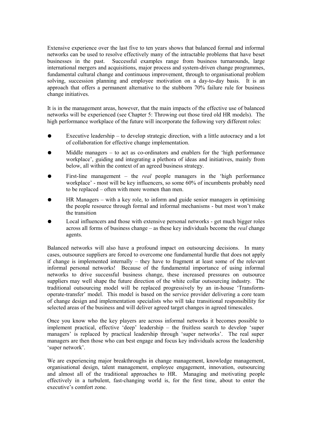Extensive experience over the last five to ten years shows that balanced formal and informal networks can be used to resolve effectively many of the intractable problems that have beset businesses in the past. Successful examples range from business turnarounds, large international mergers and acquisitions, major process and system-driven change programmes, fundamental cultural change and continuous improvement, through to organisational problem solving, succession planning and employee motivation on a day-to-day basis. It is an approach that offers a permanent alternative to the stubborn 70% failure rule for business change initiatives.

It is in the management areas, however, that the main impacts of the effective use of balanced networks will be experienced (see Chapter 5: Throwing out those tired old HR models). The high performance workplace of the future will incorporate the following very different roles:

- Executive leadership to develop strategic direction, with a little autocracy and a lot of collaboration for effective change implementation.
- Middle managers  $-$  to act as co-ordinators and enablers for the 'high performance workplace', guiding and integrating a plethora of ideas and initiatives, mainly from below, all within the context of an agreed business strategy.
- First-line management the *real* people managers in the 'high performance' workplace' - most will be key influencers, so some 60% of incumbents probably need to be replaced – often with more women than men.
- $HR$  Managers with a key role, to inform and guide senior managers in optimising the people resource through formal and informal mechanisms - but most won't make the transition
- Local influencers and those with extensive personal networks get much bigger roles across all forms of business change – as these key individuals become the *real* change agents.

Balanced networks will also have a profound impact on outsourcing decisions. In many cases, outsource suppliers are forced to overcome one fundamental hurdle that does not apply if change is implemented internally – they have to fragment at least some of the relevant informal personal networks! Because of the fundamental importance of using informal networks to drive successful business change, these increased pressures on outsource suppliers may well shape the future direction of the white collar outsourcing industry. The traditional outsourcing model will be replaced progressively by an in-house 'Transformoperate-transfer' model. This model is based on the service provider delivering a core team of change design and implementation specialists who will take transitional responsibility for selected areas of the business and will deliver agreed target changes in agreed timescales.

Once you know who the key players are across informal networks it becomes possible to implement practical, effective 'deep' leadership – the fruitless search to develop 'super managers' is replaced by practical leadership through 'super networks'. The real super managers are then those who can best engage and focus key individuals across the leadership 'super network'.

We are experiencing major breakthroughs in change management, knowledge management, organisational design, talent management, employee engagement, innovation, outsourcing and almost all of the traditional approaches to HR. Managing and motivating people effectively in a turbulent, fast-changing world is, for the first time, about to enter the executive's comfort zone.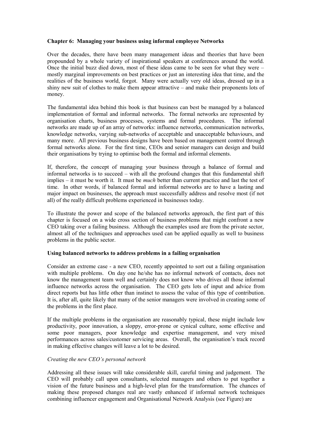# **Chapter 6: Managing your business using informal employee Networks**

Over the decades, there have been many management ideas and theories that have been propounded by a whole variety of inspirational speakers at conferences around the world. Once the initial buzz died down, most of these ideas came to be seen for what they were – mostly marginal improvements on best practices or just an interesting idea that time, and the realities of the business world, forgot. Many were actually very old ideas, dressed up in a shiny new suit of clothes to make them appear attractive – and make their proponents lots of money.

The fundamental idea behind this book is that business can best be managed by a balanced implementation of formal and informal networks. The formal networks are represented by organisation charts, business processes, systems and formal procedures. The informal networks are made up of an array of networks: influence networks, communication networks, knowledge networks, varying sub-networks of acceptable and unacceptable behaviours, and many more. All previous business designs have been based on management control through formal networks alone. For the first time, CEOs and senior managers can design and build their organisations by trying to optimise both the formal and informal elements.

If, therefore, the concept of managing your business through a balance of formal and informal networks is to succeed – with all the profound changes that this fundamental shift implies – it must be worth it. It must be *much* better than current practice and last the test of time. In other words, if balanced formal and informal networks are to have a lasting and major impact on businesses, the approach must successfully address and resolve most (if not all) of the really difficult problems experienced in businesses today.

To illustrate the power and scope of the balanced networks approach, the first part of this chapter is focused on a wide cross section of business problems that might confront a new CEO taking over a failing business. Although the examples used are from the private sector, almost all of the techniques and approaches used can be applied equally as well to business problems in the public sector.

# **Using balanced networks to address problems in a failing organisation**

Consider an extreme case - a new CEO, recently appointed to sort out a failing organisation with multiple problems. On day one he/she has no informal network of contacts, does not know the management team well and certainly does not know who drives all those informal influence networks across the organisation. The CEO gets lots of input and advice from direct reports but has little other than instinct to assess the value of this type of contribution. It is, after all, quite likely that many of the senior managers were involved in creating some of the problems in the first place.

If the multiple problems in the organisation are reasonably typical, these might include low productivity, poor innovation, a sloppy, error-prone or cynical culture, some effective and some poor managers, poor knowledge and expertise management, and very mixed performances across sales/customer servicing areas. Overall, the organisation's track record in making effective changes will leave a lot to be desired.

# *Creating the new CEO's personal network*

Addressing all these issues will take considerable skill, careful timing and judgement. The CEO will probably call upon consultants, selected managers and others to put together a vision of the future business and a high-level plan for the transformation. The chances of making these proposed changes real are vastly enhanced if informal network techniques combining influencer engagement and Organisational Network Analysis (see Figure) are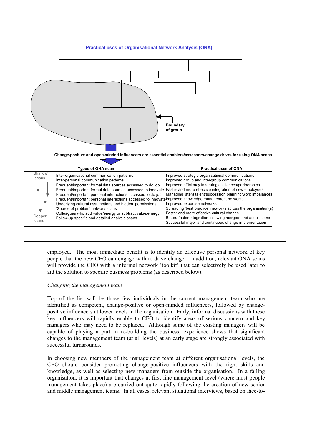

employed. The most immediate benefit is to identify an effective personal network of key people that the new CEO can engage with to drive change. In addition, relevant ONA scans will provide the CEO with a informal network 'toolkit' that can selectively be used later to aid the solution to specific business problems (as described below).

# *Changing the management team*

Top of the list will be those few individuals in the current management team who are identified as competent, change-positive or open-minded influencers, followed by changepositive influencers at lower levels in the organisation. Early, informal discussions with these key influencers will rapidly enable to CEO to identify areas of serious concern and key managers who may need to be replaced. Although some of the existing managers will be capable of playing a part in re-building the business, experience shows that significant changes to the management team (at all levels) at an early stage are strongly associated with successful turnarounds.

In choosing new members of the management team at different organisational levels, the CEO should consider promoting change-positive influencers with the right skills and knowledge, as well as selecting new managers from outside the organisation. In a failing organisation, it is important that changes at first line management level (where most people management takes place) are carried out quite rapidly following the creation of new senior and middle management teams. In all cases, relevant situational interviews, based on face-to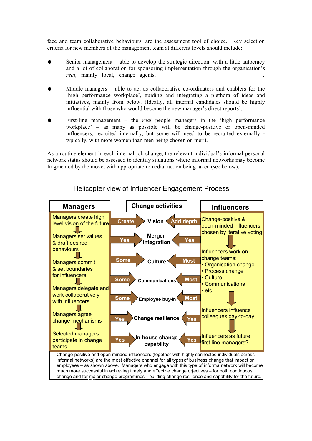face and team collaborative behaviours, are the assessment tool of choice. Key selection criteria for new members of the management team at different levels should include:

- Senior management able to develop the strategic direction, with a little autocracy and a lot of collaboration for sponsoring implementation through the organisation's *real*, mainly local, change agents.
- Middle managers  $-$  able to act as collaborative co-ordinators and enablers for the 'high performance workplace', guiding and integrating a plethora of ideas and initiatives, mainly from below. (Ideally, all internal candidates should be highly influential with those who would become the new manager's direct reports).
- First-line management the *real* people managers in the 'high performance' workplace' – as many as possible will be change-positive or open-minded influencers, recruited internally, but some will need to be recruited externally typically, with more women than men being chosen on merit.

As a routine element in each internal job change, the relevant individual's informal personal network status should be assessed to identify situations where informal networks may become fragmented by the move, with appropriate remedial action being taken (see below).



# Helicopter view of Influencer Engagement Process

**Yes** change and for major change programmes – building change resilience and capability for the future.much more successful in achieving timely and effective change objectives – for both continuous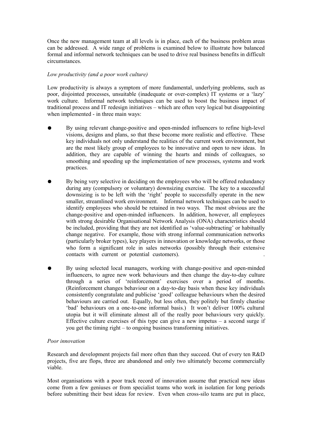Once the new management team at all levels is in place, each of the business problem areas can be addressed. A wide range of problems is examined below to illustrate how balanced formal and informal network techniques can be used to drive real business benefits in difficult circumstances.

# *Low productivity (and a poor work culture)*

Low productivity is always a symptom of more fundamental, underlying problems, such as poor, disjointed processes, unsuitable (inadequate or over-complex) IT systems or a 'lazy' work culture. Informal network techniques can be used to boost the business impact of traditional process and IT redesign initiatives – which are often very logical but disappointing when implemented - in three main ways:

- By using relevant change-positive and open-minded influencers to refine high-level visions, designs and plans, so that these become more realistic and effective. These key individuals not only understand the realities of the current work environment, but are the most likely group of employees to be innovative and open to new ideas. In addition, they are capable of winning the hearts and minds of colleagues, so smoothing and speeding up the implementation of new processes, systems and work practices.
- By being very selective in deciding on the employees who will be offered redundancy during any (compulsory or voluntary) downsizing exercise. The key to a successful downsizing is to be left with the 'right' people to successfully operate in the new smaller, streamlined work environment. Informal network techniques can be used to identify employees who should be retained in two ways. The most obvious are the change-positive and open-minded influencers. In addition, however, all employees with strong desirable Organisational Network Analysis (ONA) characteristics should be included, providing that they are not identified as 'value-subtracting' or habitually change negative. For example, those with strong informal communication networks (particularly broker types), key players in innovation or knowledge networks, or those who form a significant role in sales networks (possibly through their extensive contacts with current or potential customers).
- By using selected local managers, working with change-positive and open-minded influencers, to agree new work behaviours and then change the day-to-day culture through a series of 'reinforcement' exercises over a period of months. (Reinforcement changes behaviour on a day-to-day basis when these key individuals consistently congratulate and publicise 'good' colleague behaviours when the desired behaviours are carried out. Equally, but less often, they politely but firmly chastise 'bad' behaviours on a one-to-one informal basis.) It won't deliver 100% cultural utopia but it will eliminate almost all of the really poor behaviours very quickly. Effective culture exercises of this type can give a new impetus  $-$  a second surge if you get the timing right – to ongoing business transforming initiatives.

# *Poor innovation*

Research and development projects fail more often than they succeed. Out of every ten R&D projects, five are flops, three are abandoned and only two ultimately become commercially viable.

Most organisations with a poor track record of innovation assume that practical new ideas come from a few geniuses or from specialist teams who work in isolation for long periods before submitting their best ideas for review. Even when cross-silo teams are put in place,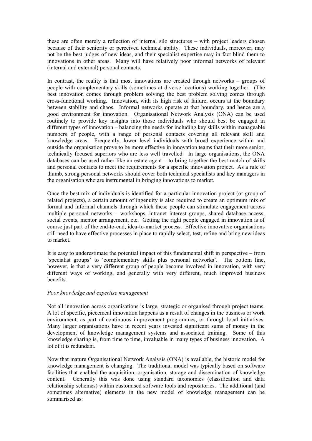these are often merely a reflection of internal silo structures – with project leaders chosen because of their seniority or perceived technical ability. These individuals, moreover, may not be the best judges of new ideas, and their specialist expertise may in fact blind them to innovations in other areas. Many will have relatively poor informal networks of relevant (internal and external) personal contacts.

In contrast, the reality is that most innovations are created through networks – groups of people with complementary skills (sometimes at diverse locations) working together. (The best innovation comes through problem solving; the best problem solving comes through cross-functional working. Innovation, with its high risk of failure, occurs at the boundary between stability and chaos. Informal networks operate at that boundary, and hence are a good environment for innovation. Organisational Network Analysis (ONA) can be used routinely to provide key insights into those individuals who should best be engaged in different types of innovation – balancing the needs for including key skills within manageable numbers of people, with a range of personal contacts covering all relevant skill and knowledge areas. Frequently, lower level individuals with broad experience within and outside the organisation prove to be more effective in innovation teams that their more senior, technically focused superiors who are less well travelled. In large organisations, the ONA databases can be used rather like an estate agent – to bring together the best match of skills and personal contacts to meet the requirements for a specific innovation project. As a rule of thumb, strong personal networks should cover both technical specialists and key managers in the organisation who are instrumental in bringing innovations to market.

Once the best mix of individuals is identified for a particular innovation project (or group of related projects), a certain amount of ingenuity is also required to create an optimum mix of formal and informal channels through which these people can stimulate engagement across multiple personal networks – workshops, intranet interest groups, shared database access, social events, mentor arrangement, etc. Getting the right people engaged in innovation is of course just part of the end-to-end, idea-to-market process. Effective innovative organisations still need to have effective processes in place to rapidly select, test, refine and bring new ideas to market.

It is easy to underestimate the potential impact of this fundamental shift in perspective – from 'specialist groups' to 'complementary skills plus personal networks'. The bottom line, however, is that a very different group of people become involved in innovation, with very different ways of working, and generally with very different, much improved business benefits.

# *Poor knowledge and expertise management*

Not all innovation across organisations is large, strategic or organised through project teams. A lot of specific, piecemeal innovation happens as a result of changes in the business or work environment, as part of continuous improvement programmes, or through local initiatives. Many larger organisations have in recent years invested significant sums of money in the development of knowledge management systems and associated training. Some of this knowledge sharing is, from time to time, invaluable in many types of business innovation. A lot of it is redundant.

Now that mature Organisational Network Analysis (ONA) is available, the historic model for knowledge management is changing. The traditional model was typically based on software facilities that enabled the acquisition, organisation, storage and dissemination of knowledge content. Generally this was done using standard taxonomies (classification and data relationship schemes) within customised software tools and repositories. The additional (and sometimes alternative) elements in the new model of knowledge management can be summarised as: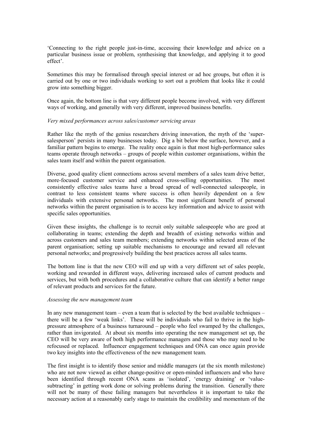'Connecting to the right people just-in-time, accessing their knowledge and advice on a particular business issue or problem, synthesising that knowledge, and applying it to good effect'.

Sometimes this may be formalised through special interest or ad hoc groups, but often it is carried out by one or two individuals working to sort out a problem that looks like it could grow into something bigger.

Once again, the bottom line is that very different people become involved, with very different ways of working, and generally with very different, improved business benefits.

#### *Very mixed performances across sales/customer servicing areas*

Rather like the myth of the genius researchers driving innovation, the myth of the 'supersalesperson' persists in many businesses today. Dig a bit below the surface, however, and a familiar pattern begins to emerge. The reality once again is that most high-performance sales teams operate through networks – groups of people within customer organisations, within the sales team itself and within the parent organisation.

Diverse, good quality client connections across several members of a sales team drive better, more-focused customer service and enhanced cross-selling opportunities. The most consistently effective sales teams have a broad spread of well-connected salespeople, in contrast to less consistent teams where success is often heavily dependent on a few individuals with extensive personal networks. The most significant benefit of personal networks within the parent organisation is to access key information and advice to assist with specific sales opportunities.

Given these insights, the challenge is to recruit only suitable salespeople who are good at collaborating in teams; extending the depth and breadth of existing networks within and across customers and sales team members; extending networks within selected areas of the parent organisation; setting up suitable mechanisms to encourage and reward all relevant personal networks; and progressively building the best practices across all sales teams.

The bottom line is that the new CEO will end up with a very different set of sales people, working and rewarded in different ways, delivering increased sales of current products and services, but with both procedures and a collaborative culture that can identify a better range of relevant products and services for the future.

#### *Assessing the new management team*

In any new management team – even a team that is selected by the best available techniques – there will be a few 'weak links'. These will be individuals who fail to thrive in the highpressure atmosphere of a business turnaround – people who feel swamped by the challenges, rather than invigorated. At about six months into operating the new management set up, the CEO will be very aware of both high performance managers and those who may need to be refocused or replaced. Influencer engagement techniques and ONA can once again provide two key insights into the effectiveness of the new management team.

The first insight is to identify those senior and middle managers (at the six month milestone) who are not now viewed as either change-positive or open-minded influencers and who have been identified through recent ONA scans as 'isolated', 'energy draining' or 'valuesubtracting' in getting work done or solving problems during the transition. Generally there will not be many of these failing managers but nevertheless it is important to take the necessary action at a reasonably early stage to maintain the credibility and momentum of the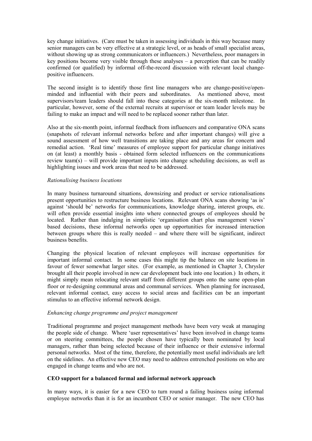key change initiatives. (Care must be taken in assessing individuals in this way because many senior managers can be very effective at a strategic level, or as heads of small specialist areas, without showing up as strong communicators or influencers.) Nevertheless, poor managers in key positions become very visible through these analyses – a perception that can be readily confirmed (or qualified) by informal off-the-record discussion with relevant local changepositive influencers.

The second insight is to identify those first line managers who are change-positive/openminded and influential with their peers and subordinates. As mentioned above, most supervisors/team leaders should fall into these categories at the six-month milestone. In particular, however, some of the external recruits at supervisor or team leader levels may be failing to make an impact and will need to be replaced sooner rather than later.

Also at the six-month point, informal feedback from influencers and comparative ONA scans (snapshots of relevant informal networks before and after important changes) will give a sound assessment of how well transitions are taking place and any areas for concern and remedial action. 'Real time' measures of employee support for particular change initiatives on (at least) a monthly basis - obtained form selected influencers on the communications review team(s) – will provide important inputs into change scheduling decisions, as well as highlighting issues and work areas that need to be addressed.

### *Rationalising business locations*

In many business turnaround situations, downsizing and product or service rationalisations present opportunities to restructure business locations. Relevant ONA scans showing 'as is' against 'should be' networks for communications, knowledge sharing, interest groups, etc. will often provide essential insights into where connected groups of employees should be located. Rather than indulging in simplistic 'organisation chart plus management views' based decisions, these informal networks open up opportunities for increased interaction between groups where this is really needed  $\overline{-}$  and where there will be significant, indirect business benefits.

Changing the physical location of relevant employees will increase opportunities for important informal contact. In some cases this might tip the balance on site locations in favour of fewer somewhat larger sites. (For example, as mentioned in Chapter 3, Chrysler brought all their people involved in new car development back into one location.) In others, it might simply mean relocating relevant staff from different groups onto the same open-plan floor or re-designing communal areas and communal services. When planning for increased, relevant informal contact, easy access to social areas and facilities can be an important stimulus to an effective informal network design.

# *Enhancing change programme and project management*

Traditional programme and project management methods have been very weak at managing the people side of change. Where 'user representatives' have been involved in change teams or on steering committees, the people chosen have typically been nominated by local managers, rather than being selected because of their influence or their extensive informal personal networks. Most of the time, therefore, the potentially most useful individuals are left on the sidelines. An effective new CEO may need to address entrenched positions on who are engaged in change teams and who are not.

# **CEO support for a balanced formal and informal network approach**

In many ways, it is easier for a new CEO to turn round a failing business using informal employee networks than it is for an incumbent CEO or senior manager. The new CEO has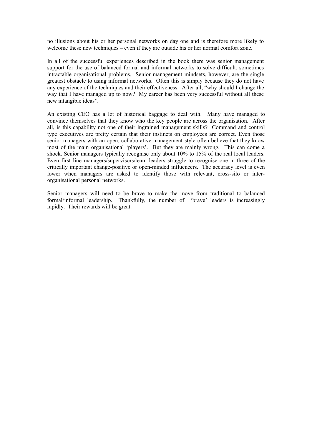no illusions about his or her personal networks on day one and is therefore more likely to welcome these new techniques – even if they are outside his or her normal comfort zone.

In all of the successful experiences described in the book there was senior management support for the use of balanced formal and informal networks to solve difficult, sometimes intractable organisational problems. Senior management mindsets, however, are the single greatest obstacle to using informal networks. Often this is simply because they do not have any experience of the techniques and their effectiveness. After all, "why should I change the way that I have managed up to now? My career has been very successful without all these new intangible ideas".

An existing CEO has a lot of historical baggage to deal with. Many have managed to convince themselves that they know who the key people are across the organisation. After all, is this capability not one of their ingrained management skills? Command and control type executives are pretty certain that their instincts on employees are correct. Even those senior managers with an open, collaborative management style often believe that they know most of the main organisational 'players'. But they are mainly wrong. This can come a shock. Senior managers typically recognise only about 10% to 15% of the real local leaders. Even first line managers/supervisors/team leaders struggle to recognise one in three of the critically important change-positive or open-minded influencers. The accuracy level is even lower when managers are asked to identify those with relevant, cross-silo or interorganisational personal networks.

Senior managers will need to be brave to make the move from traditional to balanced formal/informal leadership. Thankfully, the number of 'brave' leaders is increasingly rapidly. Their rewards will be great.